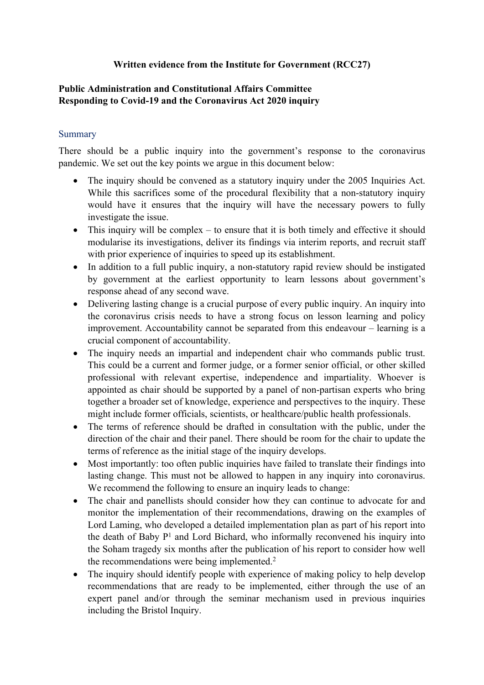## **Written evidence from the Institute for Government (RCC27)**

# **Public Administration and Constitutional Affairs Committee [Responding](https://admin.committees.parliament.uk/Committee/327/CommitteeBusiness/310/CommitteeBusinessSubmissionPeriod/Edit/149) [to](https://admin.committees.parliament.uk/Committee/327/CommitteeBusiness/310/CommitteeBusinessSubmissionPeriod/Edit/149) [Covid-19](https://admin.committees.parliament.uk/Committee/327/CommitteeBusiness/310/CommitteeBusinessSubmissionPeriod/Edit/149) [and](https://admin.committees.parliament.uk/Committee/327/CommitteeBusiness/310/CommitteeBusinessSubmissionPeriod/Edit/149) [the](https://admin.committees.parliament.uk/Committee/327/CommitteeBusiness/310/CommitteeBusinessSubmissionPeriod/Edit/149) [Coronavirus](https://admin.committees.parliament.uk/Committee/327/CommitteeBusiness/310/CommitteeBusinessSubmissionPeriod/Edit/149) [Act](https://admin.committees.parliament.uk/Committee/327/CommitteeBusiness/310/CommitteeBusinessSubmissionPeriod/Edit/149) [2020](https://admin.committees.parliament.uk/Committee/327/CommitteeBusiness/310/CommitteeBusinessSubmissionPeriod/Edit/149) inquiry**

## **Summary**

There should be a public inquiry into the government's response to the coronavirus pandemic. We set out the key points we argue in this document below:

- The inquiry should be convened as a statutory inquiry under the 2005 Inquiries Act. While this sacrifices some of the procedural flexibility that a non-statutory inquiry would have it ensures that the inquiry will have the necessary powers to fully investigate the issue.
- This inquiry will be complex to ensure that it is both timely and effective it should modularise its investigations, deliver its findings via interim reports, and recruit staff with prior experience of inquiries to speed up its establishment.
- In addition to a full public inquiry, a non-statutory rapid review should be instigated by government at the earliest opportunity to learn lessons about government's response ahead of any second wave.
- Delivering lasting change is a crucial purpose of every public inquiry. An inquiry into the coronavirus crisis needs to have a strong focus on lesson learning and policy improvement. Accountability cannot be separated from this endeavour – learning is a crucial component of accountability.
- The inquiry needs an impartial and independent chair who commands public trust. This could be a current and former judge, or a former senior official, or other skilled professional with relevant expertise, independence and impartiality. Whoever is appointed as chair should be supported by a panel of non-partisan experts who bring together a broader set of knowledge, experience and perspectives to the inquiry. These might include former officials, scientists, or healthcare/public health professionals.
- The terms of reference should be drafted in consultation with the public, under the direction of the chair and their panel. There should be room for the chair to update the terms of reference as the initial stage of the inquiry develops.
- Most importantly: too often public inquiries have failed to translate their findings into lasting change. This must not be allowed to happen in any inquiry into coronavirus. We recommend the following to ensure an inquiry leads to change:
- The chair and panellists should consider how they can continue to advocate for and monitor the implementation of their recommendations, drawing on the examples of Lord Laming, who developed a detailed implementation plan as part of his report into the death of Baby P <sup>1</sup> and Lord Bichard, who informally reconvened his inquiry into the Soham tragedy six months after the publication of his report to consider how well the recommendations were being implemented.<sup>2</sup>
- The inquiry should identify people with experience of making policy to help develop recommendations that are ready to be implemented, either through the use of an expert panel and/or through the seminar mechanism used in previous inquiries including the Bristol Inquiry.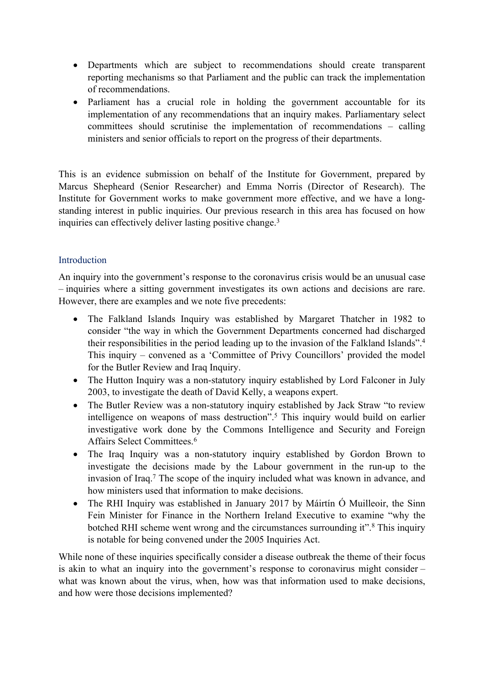- Departments which are subject to recommendations should create transparent reporting mechanisms so that Parliament and the public can track the implementation of recommendations.
- Parliament has a crucial role in holding the government accountable for its implementation of any recommendations that an inquiry makes. Parliamentary select committees should scrutinise the implementation of recommendations – calling ministers and senior officials to report on the progress of their departments.

This is an evidence submission on behalf of the Institute for Government, prepared by Marcus Shepheard (Senior Researcher) and Emma Norris (Director of Research). The Institute for Government works to make government more effective, and we have a longstanding interest in public inquiries. Our previous research in this area has focused on how inquiries can effectively deliver lasting positive change.<sup>3</sup>

## **Introduction**

An inquiry into the government's response to the coronavirus crisis would be an unusual case – inquiries where a sitting government investigates its own actions and decisions are rare. However, there are examples and we note five precedents:

- The Falkland Islands Inquiry was established by Margaret Thatcher in 1982 to consider "the way in which the Government Departments concerned had discharged their responsibilities in the period leading up to the invasion of the Falkland Islands".<sup>4</sup> This inquiry – convened as a 'Committee of Privy Councillors' provided the model for the Butler Review and Iraq Inquiry.
- The Hutton Inquiry was a non-statutory inquiry established by Lord Falconer in July 2003, to investigate the death of David Kelly, a weapons expert.
- The Butler Review was a non-statutory inquiry established by Jack Straw "to review" intelligence on weapons of mass destruction".<sup>5</sup> This inquiry would build on earlier investigative work done by the Commons Intelligence and Security and Foreign Affairs Select Committees.<sup>6</sup>
- The Iraq Inquiry was a non-statutory inquiry established by Gordon Brown to investigate the decisions made by the Labour government in the run-up to the invasion of Iraq.<sup>7</sup> The scope of the inquiry included what was known in advance, and how ministers used that information to make decisions.
- The RHI Inquiry was established in January 2017 by Máirtín Ó Muilleoir, the Sinn Fein Minister for Finance in the Northern Ireland Executive to examine "why the botched RHI scheme went wrong and the circumstances surrounding it".<sup>8</sup> This inquiry is notable for being convened under the 2005 Inquiries Act.

While none of these inquiries specifically consider a disease outbreak the theme of their focus is akin to what an inquiry into the government's response to coronavirus might consider – what was known about the virus, when, how was that information used to make decisions, and how were those decisions implemented?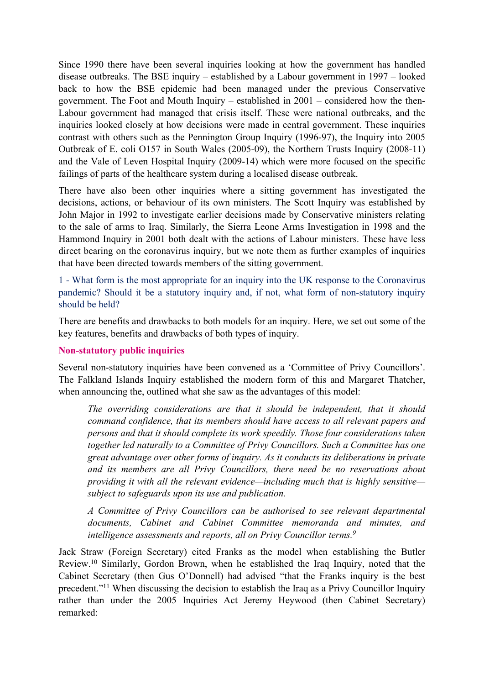Since 1990 there have been several inquiries looking at how the government has handled disease outbreaks. The BSE inquiry – established by a Labour government in 1997 – looked back to how the BSE epidemic had been managed under the previous Conservative government. The Foot and Mouth Inquiry – established in 2001 – considered how the then-Labour government had managed that crisis itself. These were national outbreaks, and the inquiries looked closely at how decisions were made in central government. These inquiries contrast with others such as the Pennington Group Inquiry (1996-97), the Inquiry into 2005 Outbreak of E. coli O157 in South Wales (2005-09), the Northern Trusts Inquiry (2008-11) and the Vale of Leven Hospital Inquiry (2009-14) which were more focused on the specific failings of parts of the healthcare system during a localised disease outbreak.

There have also been other inquiries where a sitting government has investigated the decisions, actions, or behaviour of its own ministers. The Scott Inquiry was established by John Major in 1992 to investigate earlier decisions made by Conservative ministers relating to the sale of arms to Iraq. Similarly, the Sierra Leone Arms Investigation in 1998 and the Hammond Inquiry in 2001 both dealt with the actions of Labour ministers. These have less direct bearing on the coronavirus inquiry, but we note them as further examples of inquiries that have been directed towards members of the sitting government.

1 - What form is the most appropriate for an inquiry into the UK response to the Coronavirus pandemic? Should it be a statutory inquiry and, if not, what form of non-statutory inquiry should be held?

There are benefits and drawbacks to both models for an inquiry. Here, we set out some of the key features, benefits and drawbacks of both types of inquiry.

#### **Non-statutory public inquiries**

Several non-statutory inquiries have been convened as a 'Committee of Privy Councillors'. The Falkland Islands Inquiry established the modern form of this and Margaret Thatcher, when announcing the, outlined what she saw as the advantages of this model:

*The overriding considerations are that it should be independent, that it should command confidence, that its members should have access to all relevant papers and persons and that it should complete its work speedily. Those four considerations taken together led naturally to a Committee of Privy Councillors. Such a Committee has one great advantage over other forms of inquiry. As it conducts its deliberations in private and its members are all Privy Councillors, there need be no reservations about providing it with all the relevant evidence—including much that is highly sensitive subject to safeguards upon its use and publication.*

*A Committee of Privy Councillors can be authorised to see relevant departmental documents, Cabinet and Cabinet Committee memoranda and minutes, and intelligence assessments and reports, all on Privy Councillor terms.<sup>9</sup>*

Jack Straw (Foreign Secretary) cited Franks as the model when establishing the Butler Review.<sup>10</sup> Similarly, Gordon Brown, when he established the Iraq Inquiry, noted that the Cabinet Secretary (then Gus O'Donnell) had advised "that the Franks inquiry is the best precedent."<sup>11</sup> When discussing the decision to establish the Iraq as a Privy Councillor Inquiry rather than under the 2005 Inquiries Act Jeremy Heywood (then Cabinet Secretary) remarked: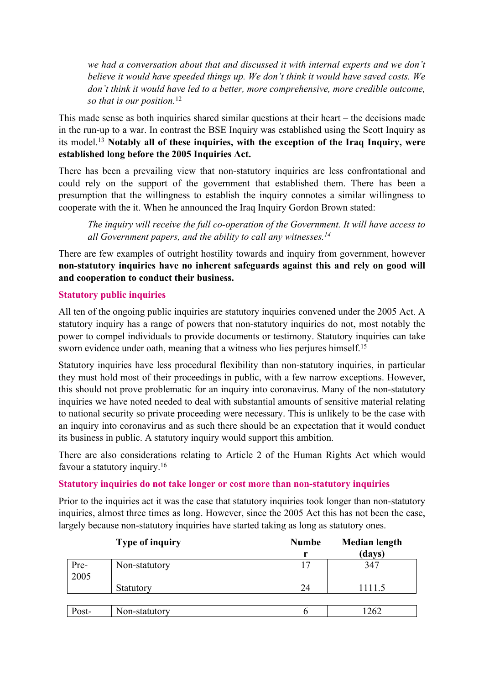*we had a conversation about that and discussed it with internal experts and we don't believe it would have speeded things up. We don't think it would have saved costs. We don't think it would have led to a better, more comprehensive, more credible outcome, so that is our position.*<sup>12</sup>

This made sense as both inquiries shared similar questions at their heart – the decisions made in the run-up to a war. In contrast the BSE Inquiry was established using the Scott Inquiry as its model.<sup>13</sup> **Notably all of these inquiries, with the exception of the Iraq Inquiry, were established long before the 2005 Inquiries Act.**

There has been a prevailing view that non-statutory inquiries are less confrontational and could rely on the support of the government that established them. There has been a presumption that the willingness to establish the inquiry connotes a similar willingness to cooperate with the it. When he announced the Iraq Inquiry Gordon Brown stated:

*The inquiry will receive the full co-operation of the Government. It will have access to all Government papers, and the ability to call any witnesses.<sup>14</sup>*

There are few examples of outright hostility towards and inquiry from government, however **non-statutory inquiries have no inherent safeguards against this and rely on good will and cooperation to conduct their business.**

## **Statutory public inquiries**

All ten of the ongoing public inquiries are statutory inquiries convened under the 2005 Act. A statutory inquiry has a range of powers that non-statutory inquiries do not, most notably the power to compel individuals to provide documents or testimony. Statutory inquiries can take sworn evidence under oath, meaning that a witness who lies perjures himself.<sup>15</sup>

Statutory inquiries have less procedural flexibility than non-statutory inquiries, in particular they must hold most of their proceedings in public, with a few narrow exceptions. However, this should not prove problematic for an inquiry into coronavirus. Many of the non-statutory inquiries we have noted needed to deal with substantial amounts of sensitive material relating to national security so private proceeding were necessary. This is unlikely to be the case with an inquiry into coronavirus and as such there should be an expectation that it would conduct its business in public. A statutory inquiry would support this ambition.

There are also considerations relating to Article 2 of the Human Rights Act which would favour a statutory inquiry.<sup>16</sup>

## **Statutory inquiries do not take longer or cost more than non-statutory inquiries**

Prior to the inquiries act it was the case that statutory inquiries took longer than non-statutory inquiries, almost three times as long. However, since the 2005 Act this has not been the case, largely because non-statutory inquiries have started taking as long as statutory ones.

|              | <b>Type of inquiry</b> | <b>Numbe</b> | <b>Median length</b> |
|--------------|------------------------|--------------|----------------------|
|              |                        | r            | (days)               |
| Pre-<br>2005 | Non-statutory          | 17           | 347                  |
|              |                        |              |                      |
|              | Statutory              | 24           | 1111.5               |
|              |                        |              |                      |
| Post-        | Non-statutory          |              | 262                  |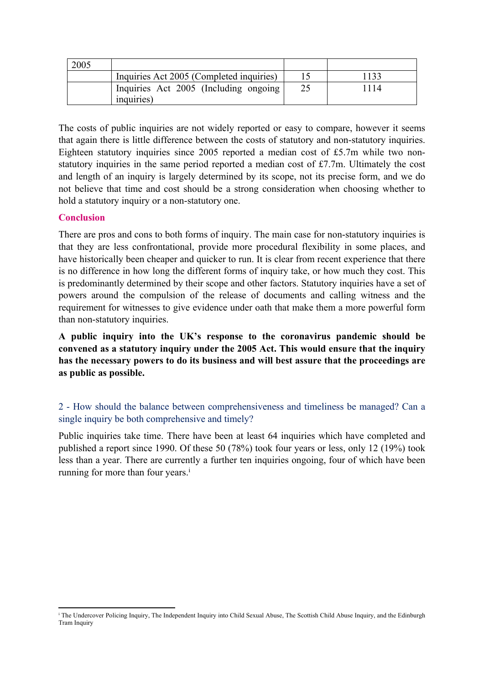| Inquiries Act 2005 (Completed inquiries)             | 133 |
|------------------------------------------------------|-----|
| Inquiries Act 2005 (Including ongoing)<br>inquiries) | 114 |

The costs of public inquiries are not widely reported or easy to compare, however it seems that again there is little difference between the costs of statutory and non-statutory inquiries. Eighteen statutory inquiries since 2005 reported a median cost of £5.7m while two nonstatutory inquiries in the same period reported a median cost of £7.7m. Ultimately the cost and length of an inquiry is largely determined by its scope, not its precise form, and we do not believe that time and cost should be a strong consideration when choosing whether to hold a statutory inquiry or a non-statutory one.

## **Conclusion**

There are pros and cons to both forms of inquiry. The main case for non-statutory inquiries is that they are less confrontational, provide more procedural flexibility in some places, and have historically been cheaper and quicker to run. It is clear from recent experience that there is no difference in how long the different forms of inquiry take, or how much they cost. This is predominantly determined by their scope and other factors. Statutory inquiries have a set of powers around the compulsion of the release of documents and calling witness and the requirement for witnesses to give evidence under oath that make them a more powerful form than non-statutory inquiries.

**A public inquiry into the UK's response to the coronavirus pandemic should be convened as a statutory inquiry under the 2005 Act. This would ensure that the inquiry has the necessary powers to do its business and will best assure that the proceedings are as public as possible.**

# 2 - How should the balance between comprehensiveness and timeliness be managed? Can a single inquiry be both comprehensive and timely?

Public inquiries take time. There have been at least 64 inquiries which have completed and published a report since 1990. Of these 50 (78%) took four years or less, only 12 (19%) took less than a year. There are currently a further ten inquiries ongoing, four of which have been running for more than four years.<sup>i</sup>

<sup>i</sup> The Undercover Policing Inquiry, The Independent Inquiry into Child Sexual Abuse, The Scottish Child Abuse Inquiry, and the Edinburgh Tram Inquiry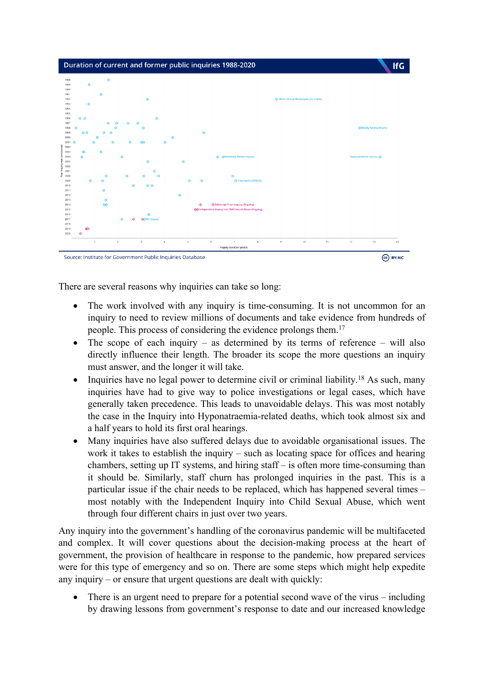

There are several reasons why inquiries can take so long:

- The work involved with any inquiry is time-consuming. It is not uncommon for an inquiry to need to review millions of documents and take evidence from hundreds of people. This process of considering the evidence prolongs them.<sup>17</sup>
- The scope of each inquiry as determined by its terms of reference will also directly influence their length. The broader its scope the more questions an inquiry must answer, and the longer it will take.
- Inquiries have no legal power to determine civil or criminal liability.<sup>18</sup> As such, many inquiries have had to give way to police investigations or legal cases, which have generally taken precedence. This leads to unavoidable delays. This was most notably the case in the Inquiry into Hyponatraemia-related deaths, which took almost six and a half years to hold its first oral hearings.
- Many inquiries have also suffered delays due to avoidable organisational issues. The work it takes to establish the inquiry – such as locating space for offices and hearing chambers, setting up IT systems, and hiring staff – is often more time-consuming than it should be. Similarly, staff churn has prolonged inquiries in the past. This is a particular issue if the chair needs to be replaced, which has happened several times – most notably with the Independent Inquiry into Child Sexual Abuse, which went through four different chairs in just over two years.

Any inquiry into the government's handling of the coronavirus pandemic will be multifaceted and complex. It will cover questions about the decision-making process at the heart of government, the provision of healthcare in response to the pandemic, how prepared services were for this type of emergency and so on. There are some steps which might help expedite any inquiry – or ensure that urgent questions are dealt with quickly:

• There is an urgent need to prepare for a potential second wave of the virus – including by drawing lessons from government's response to date and our increased knowledge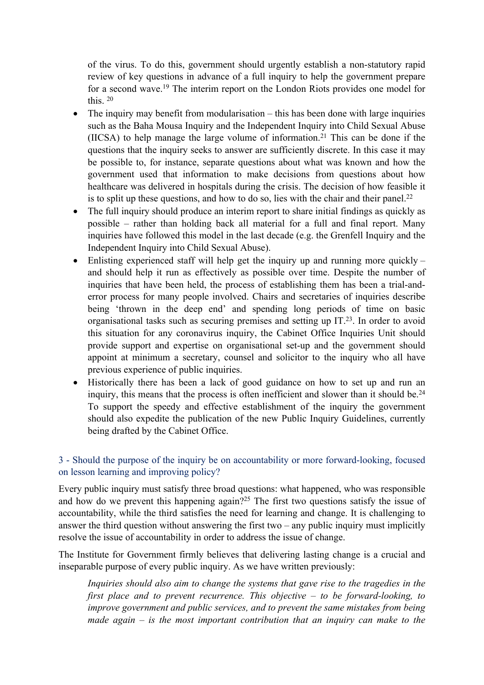of the virus. To do this, government should urgently establish a non-statutory rapid review of key questions in advance of a full inquiry to help the government prepare for a second wave.<sup>19</sup> The interim report on the London Riots provides one model for this. <sup>20</sup>

- $\bullet$  The inquiry may benefit from modularisation this has been done with large inquiries such as the Baha Mousa Inquiry and the Independent Inquiry into Child Sexual Abuse  $(IICSA)$  to help manage the large volume of information.<sup>21</sup> This can be done if the questions that the inquiry seeks to answer are sufficiently discrete. In this case it may be possible to, for instance, separate questions about what was known and how the government used that information to make decisions from questions about how healthcare was delivered in hospitals during the crisis. The decision of how feasible it is to split up these questions, and how to do so, lies with the chair and their panel.<sup>22</sup>
- The full inquiry should produce an interim report to share initial findings as quickly as possible – rather than holding back all material for a full and final report. Many inquiries have followed this model in the last decade (e.g. the Grenfell Inquiry and the Independent Inquiry into Child Sexual Abuse).
- $\bullet$  Enlisting experienced staff will help get the inquiry up and running more quickly and should help it run as effectively as possible over time. Despite the number of inquiries that have been held, the process of establishing them has been a trial-anderror process for many people involved. Chairs and secretaries of inquiries describe being 'thrown in the deep end' and spending long periods of time on basic organisational tasks such as securing premises and setting up  $IT.23$ . In order to avoid this situation for any coronavirus inquiry, the Cabinet Office Inquiries Unit should provide support and expertise on organisational set-up and the government should appoint at minimum a secretary, counsel and solicitor to the inquiry who all have previous experience of public inquiries.
- Historically there has been a lack of good guidance on how to set up and run an inquiry, this means that the process is often inefficient and slower than it should be.<sup>24</sup> To support the speedy and effective establishment of the inquiry the government should also expedite the publication of the new Public Inquiry Guidelines, currently being drafted by the Cabinet Office.

# 3 - Should the purpose of the inquiry be on accountability or more forward-looking, focused on lesson learning and improving policy?

Every public inquiry must satisfy three broad questions: what happened, who was responsible and how do we prevent this happening again?<sup>25</sup> The first two questions satisfy the issue of accountability, while the third satisfies the need for learning and change. It is challenging to answer the third question without answering the first two – any public inquiry must implicitly resolve the issue of accountability in order to address the issue of change.

The Institute for Government firmly believes that delivering lasting change is a crucial and inseparable purpose of every public inquiry. As we have written previously:

*Inquiries should also aim to change the systems that gave rise to the tragedies in the first place and to prevent recurrence. This objective – to be forward-looking, to improve government and public services, and to prevent the same mistakes from being made again – is the most important contribution that an inquiry can make to the*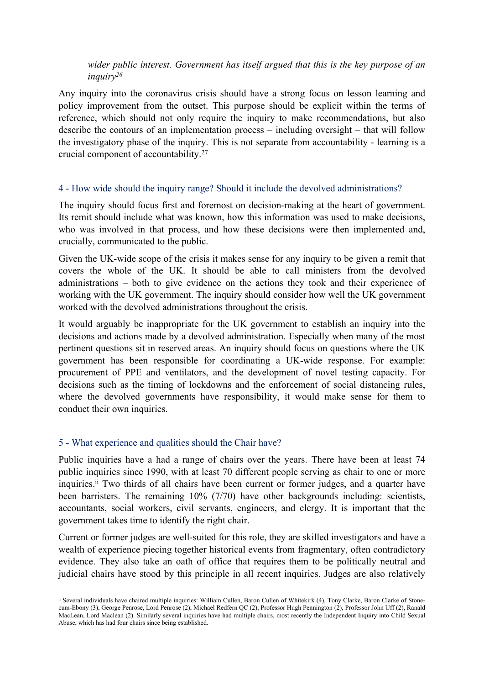## *wider public interest. Government has itself argued that this is the key purpose of an inquiry<sup>26</sup>*

Any inquiry into the coronavirus crisis should have a strong focus on lesson learning and policy improvement from the outset. This purpose should be explicit within the terms of reference, which should not only require the inquiry to make recommendations, but also describe the contours of an implementation process – including oversight – that will follow the investigatory phase of the inquiry. This is not separate from accountability - learning is a crucial component of accountability.<sup>27</sup>

## 4 - How wide should the inquiry range? Should it include the devolved administrations?

The inquiry should focus first and foremost on decision-making at the heart of government. Its remit should include what was known, how this information was used to make decisions, who was involved in that process, and how these decisions were then implemented and, crucially, communicated to the public.

Given the UK-wide scope of the crisis it makes sense for any inquiry to be given a remit that covers the whole of the UK. It should be able to call ministers from the devolved administrations – both to give evidence on the actions they took and their experience of working with the UK government. The inquiry should consider how well the UK government worked with the devolved administrations throughout the crisis.

It would arguably be inappropriate for the UK government to establish an inquiry into the decisions and actions made by a devolved administration. Especially when many of the most pertinent questions sit in reserved areas. An inquiry should focus on questions where the UK government has been responsible for coordinating a UK-wide response. For example: procurement of PPE and ventilators, and the development of novel testing capacity. For decisions such as the timing of lockdowns and the enforcement of social distancing rules, where the devolved governments have responsibility, it would make sense for them to conduct their own inquiries.

# 5 - What experience and qualities should the Chair have?

Public inquiries have a had a range of chairs over the years. There have been at least 74 public inquiries since 1990, with at least 70 different people serving as chair to one or more inquiries.<sup>ii</sup> Two thirds of all chairs have been current or former judges, and a quarter have been barristers. The remaining 10% (7/70) have other backgrounds including: scientists, accountants, social workers, civil servants, engineers, and clergy. It is important that the government takes time to identify the right chair.

Current or former judges are well-suited for this role, they are skilled investigators and have a wealth of experience piecing together historical events from fragmentary, often contradictory evidence. They also take an oath of office that requires them to be politically neutral and judicial chairs have stood by this principle in all recent inquiries. Judges are also relatively

ii Several individuals have chaired multiple inquiries: William Cullen, Baron Cullen of Whitekirk (4), Tony Clarke, Baron Clarke of Stonecum-Ebony (3), George Penrose, Lord Penrose (2), Michael Redfern QC (2), Professor Hugh Pennington (2), Professor John Uff (2), Ranald MacLean, Lord Maclean (2). Similarly several inquiries have had multiple chairs, most recently the Independent Inquiry into Child Sexual Abuse, which has had four chairs since being established.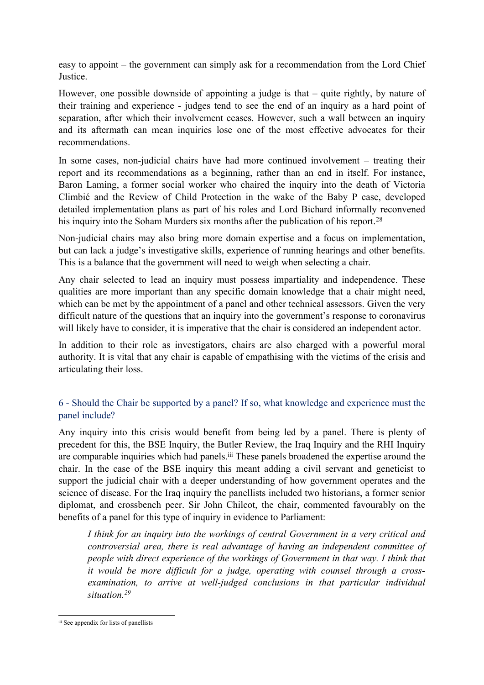easy to appoint – the government can simply ask for a recommendation from the Lord Chief Justice.

However, one possible downside of appointing a judge is that – quite rightly, by nature of their training and experience - judges tend to see the end of an inquiry as a hard point of separation, after which their involvement ceases. However, such a wall between an inquiry and its aftermath can mean inquiries lose one of the most effective advocates for their recommendations.

In some cases, non-judicial chairs have had more continued involvement – treating their report and its recommendations as a beginning, rather than an end in itself. For instance, Baron Laming, a former social worker who chaired the inquiry into the death of Victoria Climbié and the Review of Child Protection in the wake of the Baby P case, developed detailed implementation plans as part of his roles and Lord Bichard informally reconvened his inquiry into the Soham Murders six months after the publication of his report.<sup>28</sup>

Non-judicial chairs may also bring more domain expertise and a focus on implementation, but can lack a judge's investigative skills, experience of running hearings and other benefits. This is a balance that the government will need to weigh when selecting a chair.

Any chair selected to lead an inquiry must possess impartiality and independence. These qualities are more important than any specific domain knowledge that a chair might need, which can be met by the appointment of a panel and other technical assessors. Given the very difficult nature of the questions that an inquiry into the government's response to coronavirus will likely have to consider, it is imperative that the chair is considered an independent actor.

In addition to their role as investigators, chairs are also charged with a powerful moral authority. It is vital that any chair is capable of empathising with the victims of the crisis and articulating their loss.

# 6 - Should the Chair be supported by a panel? If so, what knowledge and experience must the panel include?

Any inquiry into this crisis would benefit from being led by a panel. There is plenty of precedent for this, the BSE Inquiry, the Butler Review, the Iraq Inquiry and the RHI Inquiry are comparable inquiries which had panels.<sup>iii</sup> These panels broadened the expertise around the chair. In the case of the BSE inquiry this meant adding a civil servant and geneticist to support the judicial chair with a deeper understanding of how government operates and the science of disease. For the Iraq inquiry the panellists included two historians, a former senior diplomat, and crossbench peer. Sir John Chilcot, the chair, commented favourably on the benefits of a panel for this type of inquiry in evidence to Parliament:

*I think for an inquiry into the workings of central Government in a very critical and controversial area, there is real advantage of having an independent committee of people with direct experience of the workings of Government in that way. I think that it would be more difficult for a judge, operating with counsel through a crossexamination, to arrive at well-judged conclusions in that particular individual situation.<sup>29</sup>*

iii See appendix for lists of panellists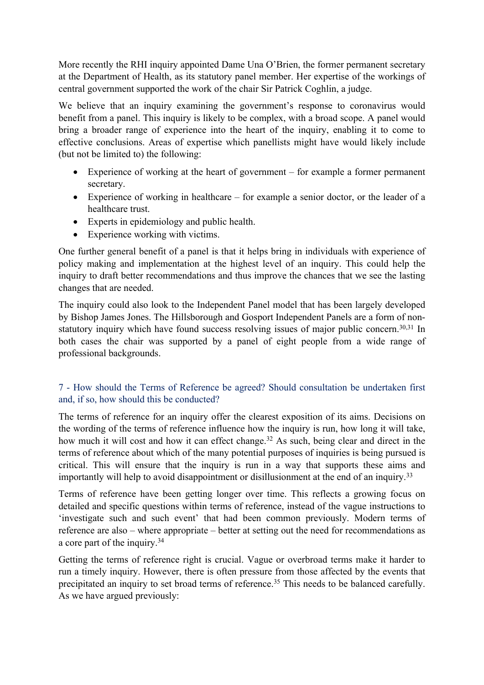More recently the RHI inquiry appointed Dame Una O'Brien, the former permanent secretary at the Department of Health, as its statutory panel member. Her expertise of the workings of central government supported the work of the chair Sir Patrick Coghlin, a judge.

We believe that an inquiry examining the government's response to coronavirus would benefit from a panel. This inquiry is likely to be complex, with a broad scope. A panel would bring a broader range of experience into the heart of the inquiry, enabling it to come to effective conclusions. Areas of expertise which panellists might have would likely include (but not be limited to) the following:

- Experience of working at the heart of government for example a former permanent secretary.
- Experience of working in healthcare for example a senior doctor, or the leader of a healthcare trust.
- Experts in epidemiology and public health.
- Experience working with victims.

One further general benefit of a panel is that it helps bring in individuals with experience of policy making and implementation at the highest level of an inquiry. This could help the inquiry to draft better recommendations and thus improve the chances that we see the lasting changes that are needed.

The inquiry could also look to the Independent Panel model that has been largely developed by Bishop James Jones. The Hillsborough and Gosport Independent Panels are a form of nonstatutory inquiry which have found success resolving issues of major public concern.<sup>30,31</sup> In both cases the chair was supported by a panel of eight people from a wide range of professional backgrounds.

# 7 - How should the Terms of Reference be agreed? Should consultation be undertaken first and, if so, how should this be conducted?

The terms of reference for an inquiry offer the clearest exposition of its aims. Decisions on the wording of the terms of reference influence how the inquiry is run, how long it will take, how much it will cost and how it can effect change.<sup>32</sup> As such, being clear and direct in the terms of reference about which of the many potential purposes of inquiries is being pursued is critical. This will ensure that the inquiry is run in a way that supports these aims and importantly will help to avoid disappointment or disillusionment at the end of an inquiry.<sup>33</sup>

Terms of reference have been getting longer over time. This reflects a growing focus on detailed and specific questions within terms of reference, instead of the vague instructions to 'investigate such and such event' that had been common previously. Modern terms of reference are also – where appropriate – better at setting out the need for recommendations as a core part of the inquiry.<sup>34</sup>

Getting the terms of reference right is crucial. Vague or overbroad terms make it harder to run a timely inquiry. However, there is often pressure from those affected by the events that precipitated an inquiry to set broad terms of reference.<sup>35</sup> This needs to be balanced carefully. As we have argued previously: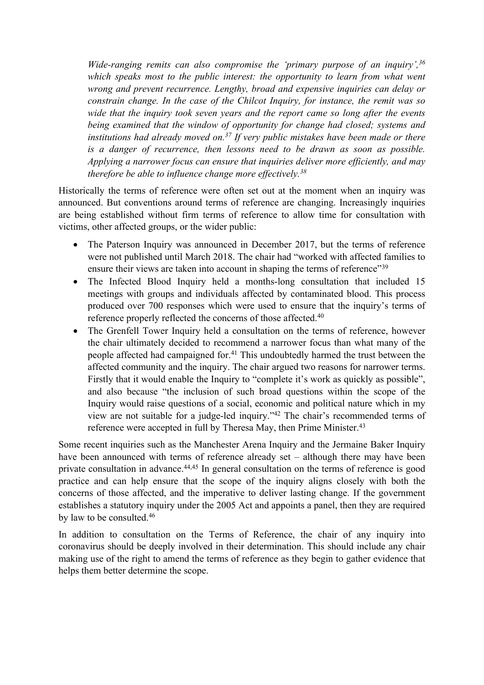*Wide-ranging remits can also compromise the 'primary purpose of an inquiry',<sup>36</sup> which speaks most to the public interest: the opportunity to learn from what went wrong and prevent recurrence. Lengthy, broad and expensive inquiries can delay or constrain change. In the case of the Chilcot Inquiry, for instance, the remit was so wide that the inquiry took seven years and the report came so long after the events being examined that the window of opportunity for change had closed; systems and institutions had already moved on.<sup>37</sup> If very public mistakes have been made or there is a danger of recurrence, then lessons need to be drawn as soon as possible. Applying a narrower focus can ensure that inquiries deliver more efficiently, and may therefore be able to influence change more effectively.<sup>38</sup>*

Historically the terms of reference were often set out at the moment when an inquiry was announced. But conventions around terms of reference are changing. Increasingly inquiries are being established without firm terms of reference to allow time for consultation with victims, other affected groups, or the wider public:

- The Paterson Inquiry was announced in December 2017, but the terms of reference were not published until March 2018. The chair had "worked with affected families to ensure their views are taken into account in shaping the terms of reference<sup>739</sup>
- The Infected Blood Inquiry held a months-long consultation that included 15 meetings with groups and individuals affected by contaminated blood. This process produced over 700 responses which were used to ensure that the inquiry's terms of reference properly reflected the concerns of those affected.<sup>40</sup>
- The Grenfell Tower Inquiry held a consultation on the terms of reference, however the chair ultimately decided to recommend a narrower focus than what many of the people affected had campaigned for.<sup>41</sup> This undoubtedly harmed the trust between the affected community and the inquiry. The chair argued two reasons for narrower terms. Firstly that it would enable the Inquiry to "complete it's work as quickly as possible", and also because "the inclusion of such broad questions within the scope of the Inquiry would raise questions of a social, economic and political nature which in my view are not suitable for a judge-led inquiry."<sup>42</sup> The chair's recommended terms of reference were accepted in full by Theresa May, then Prime Minister.<sup>43</sup>

Some recent inquiries such as the Manchester Arena Inquiry and the Jermaine Baker Inquiry have been announced with terms of reference already set – although there may have been private consultation in advance.<sup>44,45</sup> In general consultation on the terms of reference is good practice and can help ensure that the scope of the inquiry aligns closely with both the concerns of those affected, and the imperative to deliver lasting change. If the government establishes a statutory inquiry under the 2005 Act and appoints a panel, then they are required by law to be consulted.<sup>46</sup>

In addition to consultation on the Terms of Reference, the chair of any inquiry into coronavirus should be deeply involved in their determination. This should include any chair making use of the right to amend the terms of reference as they begin to gather evidence that helps them better determine the scope.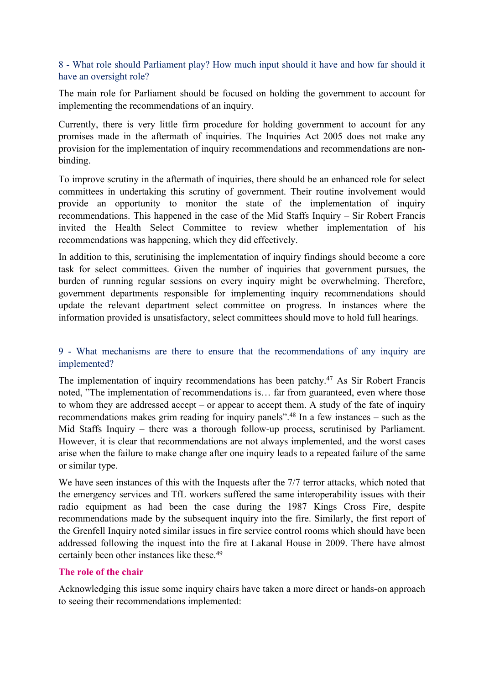## 8 - What role should Parliament play? How much input should it have and how far should it have an oversight role?

The main role for Parliament should be focused on holding the government to account for implementing the recommendations of an inquiry.

Currently, there is very little firm procedure for holding government to account for any promises made in the aftermath of inquiries. The Inquiries Act 2005 does not make any provision for the implementation of inquiry recommendations and recommendations are nonbinding.

To improve scrutiny in the aftermath of inquiries, there should be an enhanced role for select committees in undertaking this scrutiny of government. Their routine involvement would provide an opportunity to monitor the state of the implementation of inquiry recommendations. This happened in the case of the Mid Staffs Inquiry – Sir Robert Francis invited the Health Select Committee to review whether implementation of his recommendations was happening, which they did effectively.

In addition to this, scrutinising the implementation of inquiry findings should become a core task for select committees. Given the number of inquiries that government pursues, the burden of running regular sessions on every inquiry might be overwhelming. Therefore, government departments responsible for implementing inquiry recommendations should update the relevant department select committee on progress. In instances where the information provided is unsatisfactory, select committees should move to hold full hearings.

## 9 - What mechanisms are there to ensure that the recommendations of any inquiry are implemented?

The implementation of inquiry recommendations has been patchy.<sup>47</sup> As Sir Robert Francis noted, "The implementation of recommendations is… far from guaranteed, even where those to whom they are addressed accept – or appear to accept them. A study of the fate of inquiry recommendations makes grim reading for inquiry panels".<sup>48</sup> In a few instances – such as the Mid Staffs Inquiry – there was a thorough follow-up process, scrutinised by Parliament. However, it is clear that recommendations are not always implemented, and the worst cases arise when the failure to make change after one inquiry leads to a repeated failure of the same or similar type.

We have seen instances of this with the Inquests after the 7/7 terror attacks, which noted that the emergency services and TfL workers suffered the same interoperability issues with their radio equipment as had been the case during the 1987 Kings Cross Fire, despite recommendations made by the subsequent inquiry into the fire. Similarly, the first report of the Grenfell Inquiry noted similar issues in fire service control rooms which should have been addressed following the inquest into the fire at Lakanal House in 2009. There have almost certainly been other instances like these.<sup>49</sup>

## **The role of the chair**

Acknowledging this issue some inquiry chairs have taken a more direct or hands-on approach to seeing their recommendations implemented: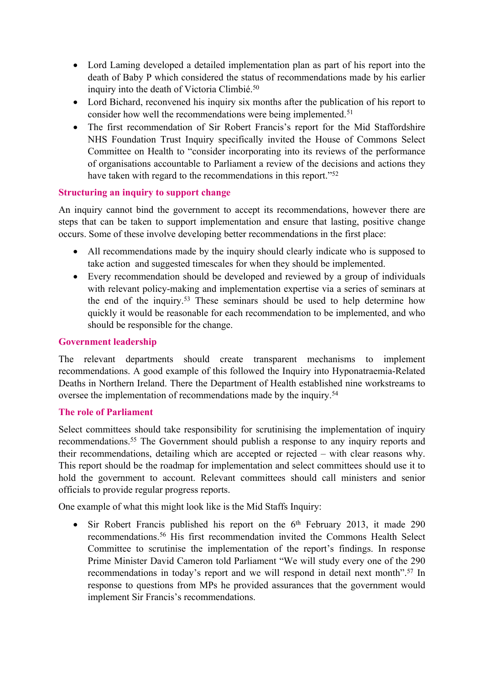- Lord Laming developed a detailed implementation plan as part of his report into the death of Baby P which considered the status of recommendations made by his earlier inquiry into the death of Victoria Climbié.<sup>50</sup>
- Lord Bichard, reconvened his inquiry six months after the publication of his report to consider how well the recommendations were being implemented.<sup>51</sup>
- The first recommendation of Sir Robert Francis's report for the Mid Staffordshire NHS Foundation Trust Inquiry specifically invited the House of Commons Select Committee on Health to "consider incorporating into its reviews of the performance of organisations accountable to Parliament a review of the decisions and actions they have taken with regard to the recommendations in this report."<sup>52</sup>

## **Structuring an inquiry to support change**

An inquiry cannot bind the government to accept its recommendations, however there are steps that can be taken to support implementation and ensure that lasting, positive change occurs. Some of these involve developing better recommendations in the first place:

- All recommendations made by the inquiry should clearly indicate who is supposed to take action and suggested timescales for when they should be implemented.
- Every recommendation should be developed and reviewed by a group of individuals with relevant policy-making and implementation expertise via a series of seminars at the end of the inquiry.<sup>53</sup> These seminars should be used to help determine how quickly it would be reasonable for each recommendation to be implemented, and who should be responsible for the change.

## **Government leadership**

The relevant departments should create transparent mechanisms to implement recommendations. A good example of this followed the Inquiry into Hyponatraemia-Related Deaths in Northern Ireland. There the Department of Health established nine workstreams to oversee the implementation of recommendations made by the inquiry.<sup>54</sup>

## **The role of Parliament**

Select committees should take responsibility for scrutinising the implementation of inquiry recommendations.<sup>55</sup> The Government should publish a response to any inquiry reports and their recommendations, detailing which are accepted or rejected – with clear reasons why. This report should be the roadmap for implementation and select committees should use it to hold the government to account. Relevant committees should call ministers and senior officials to provide regular progress reports.

One example of what this might look like is the Mid Staffs Inquiry:

• Sir Robert Francis published his report on the 6<sup>th</sup> February 2013, it made 290 recommendations.<sup>56</sup> His first recommendation invited the Commons Health Select Committee to scrutinise the implementation of the report's findings. In response Prime Minister David Cameron told Parliament "We will study every one of the 290 recommendations in today's report and we will respond in detail next month".<sup>57</sup> In response to questions from MPs he provided assurances that the government would implement Sir Francis's recommendations.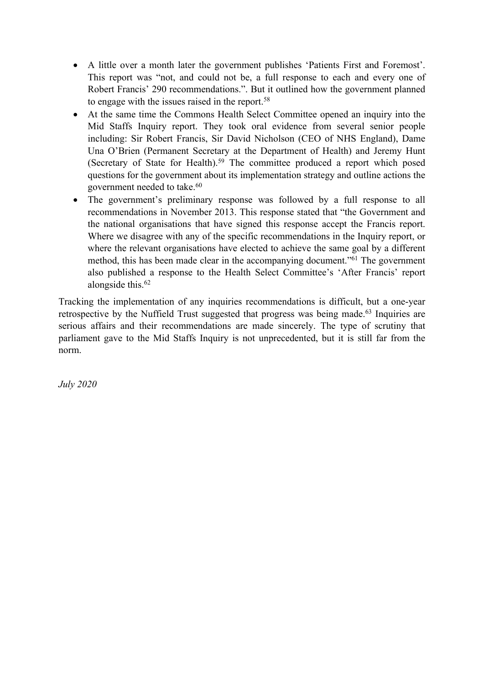- A little over a month later the government publishes 'Patients First and Foremost'. This report was "not, and could not be, a full response to each and every one of Robert Francis' 290 recommendations.". But it outlined how the government planned to engage with the issues raised in the report.<sup>58</sup>
- At the same time the Commons Health Select Committee opened an inquiry into the Mid Staffs Inquiry report. They took oral evidence from several senior people including: Sir Robert Francis, Sir David Nicholson (CEO of NHS England), Dame Una O'Brien (Permanent Secretary at the Department of Health) and Jeremy Hunt (Secretary of State for Health).<sup>59</sup> The committee produced a report which posed questions for the government about its implementation strategy and outline actions the government needed to take.<sup>60</sup>
- The government's preliminary response was followed by a full response to all recommendations in November 2013. This response stated that "the Government and the national organisations that have signed this response accept the Francis report. Where we disagree with any of the specific recommendations in the Inquiry report, or where the relevant organisations have elected to achieve the same goal by a different method, this has been made clear in the accompanying document."<sup>61</sup> The government also published a response to the Health Select Committee's 'After Francis' report alongside this.<sup>62</sup>

Tracking the implementation of any inquiries recommendations is difficult, but a one-year retrospective by the Nuffield Trust suggested that progress was being made.<sup>63</sup> Inquiries are serious affairs and their recommendations are made sincerely. The type of scrutiny that parliament gave to the Mid Staffs Inquiry is not unprecedented, but it is still far from the norm.

*July 2020*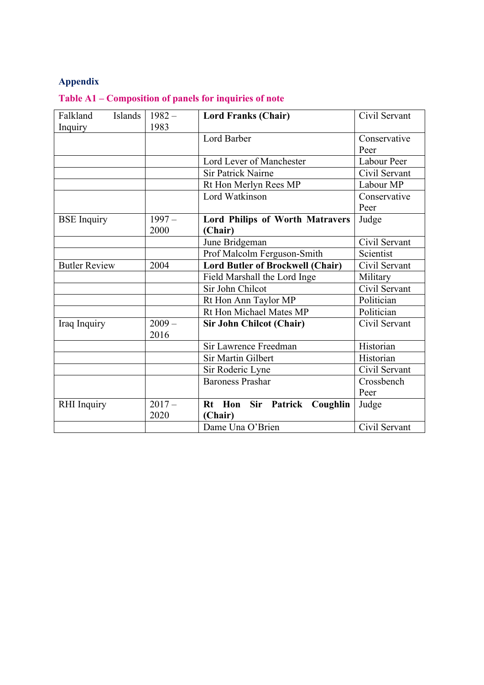# **Appendix**

**Table A1 – Composition of panels for inquiries of note**

| Falkland<br>Islands  | $1982 -$ | <b>Lord Franks (Chair)</b>             | Civil Servant |
|----------------------|----------|----------------------------------------|---------------|
| Inquiry              | 1983     |                                        |               |
|                      |          | Lord Barber                            | Conservative  |
|                      |          |                                        | Peer          |
|                      |          | Lord Lever of Manchester               | Labour Peer   |
|                      |          | <b>Sir Patrick Nairne</b>              | Civil Servant |
|                      |          | Rt Hon Merlyn Rees MP                  | Labour MP     |
|                      |          | Lord Watkinson                         | Conservative  |
|                      |          |                                        | Peer          |
| <b>BSE</b> Inquiry   | $1997 -$ | <b>Lord Philips of Worth Matravers</b> | Judge         |
|                      | 2000     | (Chair)                                |               |
|                      |          | June Bridgeman                         | Civil Servant |
|                      |          | Prof Malcolm Ferguson-Smith            | Scientist     |
| <b>Butler Review</b> | 2004     | Lord Butler of Brockwell (Chair)       | Civil Servant |
|                      |          | Field Marshall the Lord Inge           | Military      |
|                      |          | Sir John Chilcot                       | Civil Servant |
|                      |          | Rt Hon Ann Taylor MP                   | Politician    |
|                      |          | Rt Hon Michael Mates MP                | Politician    |
| Iraq Inquiry         | $2009 -$ | <b>Sir John Chilcot (Chair)</b>        | Civil Servant |
|                      | 2016     |                                        |               |
|                      |          | Sir Lawrence Freedman                  | Historian     |
|                      |          | Sir Martin Gilbert                     | Historian     |
|                      |          | Sir Roderic Lyne                       | Civil Servant |
|                      |          | <b>Baroness Prashar</b>                | Crossbench    |
|                      |          |                                        | Peer          |
| RHI Inquiry          | $2017 -$ | Rt Hon Sir Patrick<br>Coughlin         | Judge         |
|                      | 2020     | (Chair)                                |               |
|                      |          | Dame Una O'Brien                       | Civil Servant |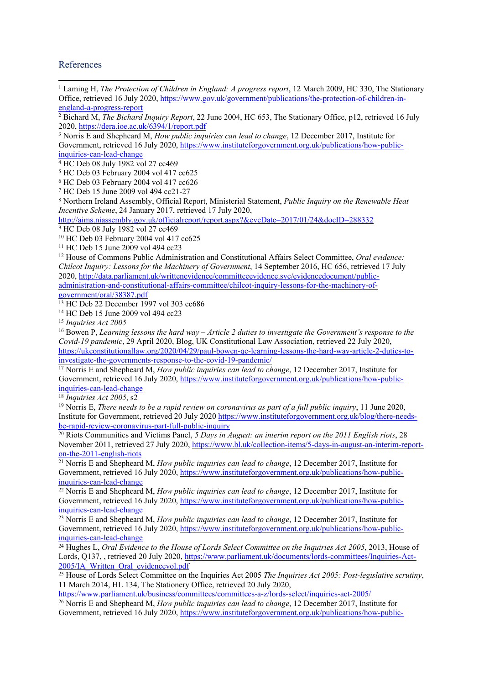#### References

| <sup>1</sup> Laming H, The Protection of Children in England: A progress report, 12 March 2009, HC 330, The Stationary          |
|---------------------------------------------------------------------------------------------------------------------------------|
| Office, retrieved 16 July 2020, https://www.gov.uk/government/publications/the-protection-of-children-in-                       |
| england-a-progress-report                                                                                                       |
| <sup>2</sup> Bichard M, <i>The Bichard Inquiry Report</i> , 22 June 2004, HC 653, The Stationary Office, p12, retrieved 16 July |
| 2020, https://dera.ioe.ac.uk/6394/1/report.pdf                                                                                  |
| <sup>3</sup> Norris E and Shepheard M, <i>How public inquiries can lead to change</i> , 12 December 2017, Institute for         |
| Government, retrieved 16 July 2020, https://www.instituteforgovernment.org.uk/publications/how-public-                          |
| inquiries-can-lead-change                                                                                                       |
| <sup>4</sup> HC Deb 08 July 1982 vol 27 cc469                                                                                   |
| <sup>5</sup> HC Deb 03 February 2004 vol 417 cc625                                                                              |
| <sup>6</sup> HC Deb 03 February 2004 vol 417 cc626                                                                              |
| <sup>7</sup> HC Deb 15 June 2009 vol 494 cc21-27                                                                                |
| <sup>8</sup> Northern Ireland Assembly, Official Report, Ministerial Statement, <i>Public Inquiry on the Renewable Heat</i>     |
| Incentive Scheme, 24 January 2017, retrieved 17 July 2020,                                                                      |
| http://aims.niassembly.gov.uk/officialreport/report.aspx?&eveDate=2017/01/24&docID=288332                                       |
| <sup>9</sup> HC Deb 08 July 1982 vol 27 cc469                                                                                   |
| <sup>10</sup> HC Deb 03 February 2004 vol 417 cc625                                                                             |
| <sup>11</sup> HC Deb 15 June 2009 vol 494 cc23                                                                                  |
| <sup>12</sup> House of Commons Public Administration and Constitutional Affairs Select Committee, Oral evidence:                |
| Chilcot Inquiry: Lessons for the Machinery of Government, 14 September 2016, HC 656, retrieved 17 July                          |
| 2020, http://data.parliament.uk/writtenevidence/committeeevidence.svc/evidencedocument/public-                                  |
| administration-and-constitutional-affairs-committee/chilcot-inquiry-lessons-for-the-machinery-of-                               |
| government/oral/38387.pdf                                                                                                       |
| <sup>13</sup> HC Deb 22 December 1997 vol 303 cc686                                                                             |
| <sup>14</sup> HC Deb 15 June 2009 vol 494 cc23                                                                                  |
| <sup>15</sup> Inquiries Act 2005                                                                                                |
| <sup>16</sup> Bowen P, Learning lessons the hard way – Article 2 duties to investigate the Government's response to the         |
| Covid-19 pandemic, 29 April 2020, Blog, UK Constitutional Law Association, retrieved 22 July 2020,                              |
| https://ukconstitutionallaw.org/2020/04/29/paul-bowen-qc-learning-lessons-the-hard-way-article-2-duties-to-                     |
| investigate-the-governments-response-to-the-covid-19-pandemic/                                                                  |
| <sup>17</sup> Norris E and Shepheard M, <i>How public inquiries can lead to change</i> , 12 December 2017, Institute for        |
| Government, retrieved 16 July 2020, https://www.instituteforgovernment.org.uk/publications/how-public-                          |
| inquiries-can-lead-change                                                                                                       |
| $18$ Inquiries Act 2005, s2                                                                                                     |
| <sup>19</sup> Norris E, There needs to be a rapid review on coronavirus as part of a full public inquiry, 11 June 2020,         |
| Institute for Government, retrieved 20 July 2020 https://www.instituteforgovernment.org.uk/blog/there-needs-                    |
| be-rapid-review-coronavirus-part-full-public-inquiry                                                                            |
| <sup>20</sup> Riots Communities and Victims Panel, 5 Days in August: an interim report on the 2011 English riots, 28            |
| November 2011, retrieved 27 July 2020, https://www.bl.uk/collection-items/5-days-in-august-an-interim-report-                   |

[on-the-2011-english-riots](https://www.bl.uk/collection-items/5-days-in-august-an-interim-report-on-the-2011-english-riots) <sup>21</sup> Norris E and Shepheard M, *How public inquiries can lead to change*, 12 December 2017, Institute for Government, retrieved 16 July 2020, [https://www.instituteforgovernment.org.uk/publications/how-public](https://www.instituteforgovernment.org.uk/publications/how-public-inquiries-can-lead-change)[inquiries-can-lead-change](https://www.instituteforgovernment.org.uk/publications/how-public-inquiries-can-lead-change)

<sup>22</sup> Norris E and Shepheard M, *How public inquiries can lead to change*, 12 December 2017, Institute for Government, retrieved 16 July 2020, [https://www.instituteforgovernment.org.uk/publications/how-public](https://www.instituteforgovernment.org.uk/publications/how-public-inquiries-can-lead-change)[inquiries-can-lead-change](https://www.instituteforgovernment.org.uk/publications/how-public-inquiries-can-lead-change)

<sup>23</sup> Norris E and Shepheard M, *How public inquiries can lead to change*, 12 December 2017, Institute for Government, retrieved 16 July 2020, [https://www.instituteforgovernment.org.uk/publications/how-public](https://www.instituteforgovernment.org.uk/publications/how-public-inquiries-can-lead-change)[inquiries-can-lead-change](https://www.instituteforgovernment.org.uk/publications/how-public-inquiries-can-lead-change)

<sup>24</sup> Hughes L, *Oral Evidence to the House of Lords Select Committee on the Inquiries Act 2005*, 2013, House of Lords, Q137, retrieved 20 July 2020, [https://www.parliament.uk/documents/lords-committees/Inquiries-Act-](https://www.parliament.uk/documents/lords-committees/Inquiries-Act-2005/IA_Written_Oral_evidencevol.pdf) $2005/\tilde{I}A$  Written Oral evidencevol.pdf

<sup>25</sup> House of Lords Select Committee on the Inquiries Act 2005 *The Inquiries Act 2005: Post-legislative scrutiny*, 11 March 2014, HL 134, The Stationery Office, retrieved 20 July 2020,

<https://www.parliament.uk/business/committees/committees-a-z/lords-select/inquiries-act-2005/>

<sup>26</sup> Norris E and Shepheard M, *How public inquiries can lead to change*, 12 December 2017, Institute for Government, retrieved 16 July 2020, [https://www.instituteforgovernment.org.uk/publications/how-public-](https://www.instituteforgovernment.org.uk/publications/how-public-inquiries-can-lead-change)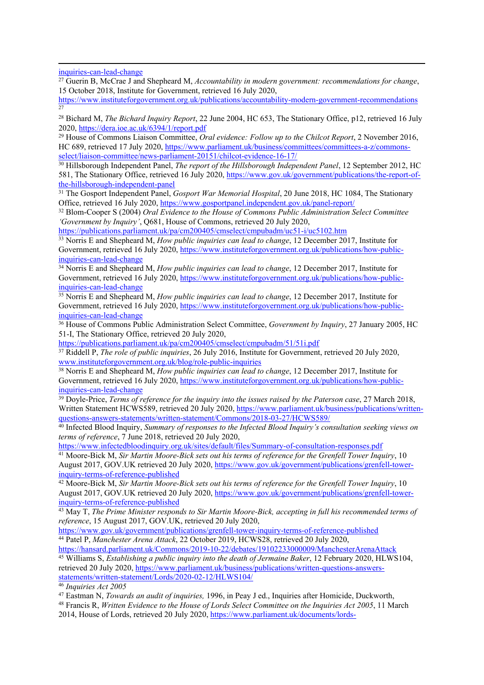[inquiries-can-lead-change](https://www.instituteforgovernment.org.uk/publications/how-public-inquiries-can-lead-change)

<sup>27</sup> Guerin B, McCrae J and Shepheard M, *Accountability in modern government: recommendations for change*, 15 October 2018, Institute for Government, retrieved 16 July 2020,

<https://www.instituteforgovernment.org.uk/publications/accountability-modern-government-recommendations> 27

<sup>28</sup> Bichard M, *The Bichard Inquiry Report*, 22 June 2004, HC 653, The Stationary Office, p12, retrieved 16 July 2020, <https://dera.ioe.ac.uk/6394/1/report.pdf>

<sup>29</sup> House of Commons Liaison Committee, *Oral evidence: Follow up to the Chilcot Report*, 2 November 2016, HC 689, retrieved 17 July 2020, [https://www.parliament.uk/business/committees/committees-a-z/commons](https://www.parliament.uk/business/committees/committees-a-z/commons-select/liaison-committee/news-parliament-20151/chilcot-evidence-16-17/)[select/liaison-committee/news-parliament-20151/chilcot-evidence-16-17/](https://www.parliament.uk/business/committees/committees-a-z/commons-select/liaison-committee/news-parliament-20151/chilcot-evidence-16-17/)

<sup>30</sup> Hillsborough Independent Panel, *The report of the Hillsborough Independent Panel*, 12 September 2012, HC 581, The Stationary Office, retrieved 16 July 2020, [https://www.gov.uk/government/publications/the-report-of](https://www.gov.uk/government/publications/the-report-of-the-hillsborough-independent-panel)[the-hillsborough-independent-panel](https://www.gov.uk/government/publications/the-report-of-the-hillsborough-independent-panel)

<sup>31</sup> The Gosport Independent Panel, *Gosport War Memorial Hospital*, 20 June 2018, HC 1084, The Stationary Office, retrieved 16 July 2020, <https://www.gosportpanel.independent.gov.uk/panel-report/>

<sup>32</sup> Blom-Cooper S (2004) *Oral Evidence to the House of Commons Public Administration Select Committee 'Government by Inquiry'*, Q681, House of Commons, retrieved 20 July 2020,

<https://publications.parliament.uk/pa/cm200405/cmselect/cmpubadm/uc51-i/uc5102.htm>

<sup>33</sup> Norris E and Shepheard M, *How public inquiries can lead to change*, 12 December 2017, Institute for Government, retrieved 16 July 2020, [https://www.instituteforgovernment.org.uk/publications/how-public](https://www.instituteforgovernment.org.uk/publications/how-public-inquiries-can-lead-change)[inquiries-can-lead-change](https://www.instituteforgovernment.org.uk/publications/how-public-inquiries-can-lead-change)

<sup>34</sup> Norris E and Shepheard M, *How public inquiries can lead to change*, 12 December 2017, Institute for Government, retrieved 16 July 2020, [https://www.instituteforgovernment.org.uk/publications/how-public](https://www.instituteforgovernment.org.uk/publications/how-public-inquiries-can-lead-change)[inquiries-can-lead-change](https://www.instituteforgovernment.org.uk/publications/how-public-inquiries-can-lead-change)

<sup>35</sup> Norris E and Shepheard M, *How public inquiries can lead to change*, 12 December 2017, Institute for Government, retrieved 16 July 2020, [https://www.instituteforgovernment.org.uk/publications/how-public](https://www.instituteforgovernment.org.uk/publications/how-public-inquiries-can-lead-change)[inquiries-can-lead-change](https://www.instituteforgovernment.org.uk/publications/how-public-inquiries-can-lead-change)

<sup>36</sup> House of Commons Public Administration Select Committee, *Government by Inquiry*, 27 January 2005, HC 51-I, The Stationary Office, retrieved 20 July 2020,

<https://publications.parliament.uk/pa/cm200405/cmselect/cmpubadm/51/51i.pdf>

<sup>37</sup> Riddell P, *The role of public inquiries*, 26 July 2016, Institute for Government, retrieved 20 July 2020, [www.instituteforgovernment.org.uk/blog/role-public-inquiries](http://www.instituteforgovernment.org.uk/blog/role-public-inquiries)

<sup>38</sup> Norris E and Shepheard M, *How public inquiries can lead to change*, 12 December 2017, Institute for Government, retrieved 16 July 2020, [https://www.instituteforgovernment.org.uk/publications/how-public](https://www.instituteforgovernment.org.uk/publications/how-public-inquiries-can-lead-change)[inquiries-can-lead-change](https://www.instituteforgovernment.org.uk/publications/how-public-inquiries-can-lead-change)

<sup>39</sup> Doyle-Price, *Terms of reference for the inquiry into the issues raised by the Paterson case*, 27 March 2018, Written Statement HCWS589, retrieved 20 July 2020, [https://www.parliament.uk/business/publications/written](https://www.parliament.uk/business/publications/written-questions-answers-statements/written-statement/Commons/2018-03-27/HCWS589/)[questions-answers-statements/written-statement/Commons/2018-03-27/HCWS589/](https://www.parliament.uk/business/publications/written-questions-answers-statements/written-statement/Commons/2018-03-27/HCWS589/)

<sup>40</sup> Infected Blood Inquiry, *Summary of responses to the Infected Blood Inquiry's consultation seeking views on terms of reference*, 7 June 2018, retrieved 20 July 2020,

<https://www.infectedbloodinquiry.org.uk/sites/default/files/Summary-of-consultation-responses.pdf>

<sup>41</sup> Moore-Bick M, *Sir Martin Moore-Bick sets out his terms of reference for the Grenfell Tower Inquiry*, 10 August 2017, GOV.UK retrieved 20 July 2020, [https://www.gov.uk/government/publications/grenfell-tower](https://www.gov.uk/government/publications/grenfell-tower-inquiry-terms-of-reference-published)[inquiry-terms-of-reference-published](https://www.gov.uk/government/publications/grenfell-tower-inquiry-terms-of-reference-published)

<sup>42</sup> Moore-Bick M, *Sir Martin Moore-Bick sets out his terms of reference for the Grenfell Tower Inquiry*, 10 August 2017, GOV.UK retrieved 20 July 2020, [https://www.gov.uk/government/publications/grenfell-tower](https://www.gov.uk/government/publications/grenfell-tower-inquiry-terms-of-reference-published)[inquiry-terms-of-reference-published](https://www.gov.uk/government/publications/grenfell-tower-inquiry-terms-of-reference-published)

<sup>43</sup> May T, *The Prime Minister responds to Sir Martin Moore-Bick, accepting in full his recommended terms of reference*, 15 August 2017, GOV.UK, retrieved 20 July 2020,

<https://www.gov.uk/government/publications/grenfell-tower-inquiry-terms-of-reference-published> <sup>44</sup> Patel P, *Manchester Arena Attack*, 22 October 2019, HCWS28, retrieved 20 July 2020,

<https://hansard.parliament.uk/Commons/2019-10-22/debates/19102233000009/ManchesterArenaAttack> <sup>45</sup> Williams S, *Establishing a public inquiry into the death of Jermaine Baker*, 12 February 2020, HLWS104, retrieved 20 July 2020, [https://www.parliament.uk/business/publications/written-questions-answers](https://www.parliament.uk/business/publications/written-questions-answers-statements/written-statement/Lords/2020-02-12/HLWS104/)[statements/written-statement/Lords/2020-02-12/HLWS104/](https://www.parliament.uk/business/publications/written-questions-answers-statements/written-statement/Lords/2020-02-12/HLWS104/)

<sup>46</sup> *Inquiries Act 2005*

<sup>47</sup> Eastman N, *Towards an audit of inquiries,* 1996, in Peay J ed., Inquiries after Homicide, Duckworth, <sup>48</sup> Francis R, *Written Evidence to the House of Lords Select Committee on the Inquiries Act 2005*, 11 March 2014, House of Lords, retrieved 20 July 2020, [https://www.parliament.uk/documents/lords-](https://www.parliament.uk/documents/lords-committees/Inquiries-Act-2005/IA_Written_Oral_evidencevol.pdf)